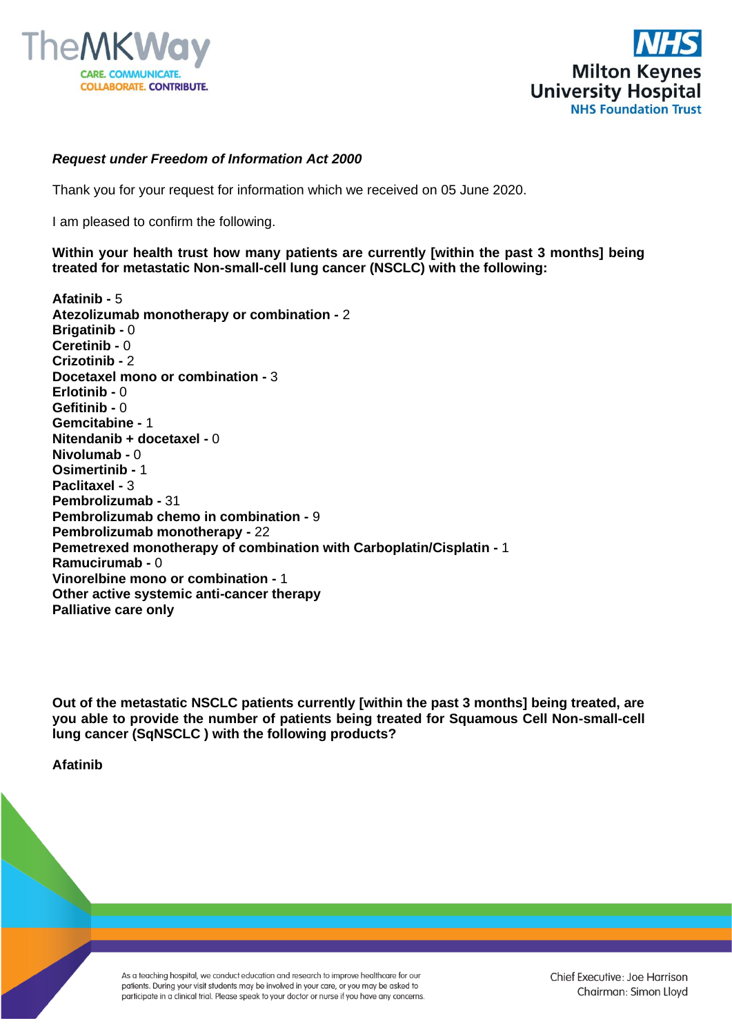



## *Request under Freedom of Information Act 2000*

Thank you for your request for information which we received on 05 June 2020.

I am pleased to confirm the following.

## **Within your health trust how many patients are currently [within the past 3 months] being treated for metastatic Non-small-cell lung cancer (NSCLC) with the following:**

**Afatinib -** 5 **Atezolizumab monotherapy or combination -** 2 **Brigatinib -** 0 **Ceretinib -** 0 **Crizotinib -** 2 **Docetaxel mono or combination -** 3 **Erlotinib -** 0 **Gefitinib -** 0 **Gemcitabine -** 1 **Nitendanib + docetaxel -** 0 **Nivolumab -** 0 **Osimertinib -** 1 **Paclitaxel -** 3 **Pembrolizumab -** 31 **Pembrolizumab chemo in combination -** 9 **Pembrolizumab monotherapy -** 22 **Pemetrexed monotherapy of combination with Carboplatin/Cisplatin -** 1 **Ramucirumab -** 0 **Vinorelbine mono or combination -** 1 **Other active systemic anti-cancer therapy Palliative care only**

**Out of the metastatic NSCLC patients currently [within the past 3 months] being treated, are you able to provide the number of patients being treated for Squamous Cell Non-small-cell lung cancer (SqNSCLC ) with the following products?**

**Afatinib**

As a teaching hospital, we conduct education and research to improve healthcare for our patients. During your visit students may be involved in your care, or you may be asked to participate in a clinical trial. Please speak to your doctor or nurse if you have any concerns. Chief Executive: Joe Harrison Chairman: Simon Lloyd